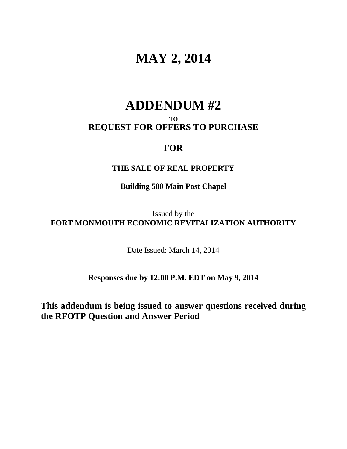# **MAY 2, 2014**

## **ADDENDUM #2**

### **TO REQUEST FOR OFFERS TO PURCHASE**

## **FOR**

### **THE SALE OF REAL PROPERTY**

## **Building 500 Main Post Chapel**

Issued by the **FORT MONMOUTH ECONOMIC REVITALIZATION AUTHORITY**

Date Issued: March 14, 2014

**Responses due by 12:00 P.M. EDT on May 9, 2014**

**This addendum is being issued to answer questions received during the RFOTP Question and Answer Period**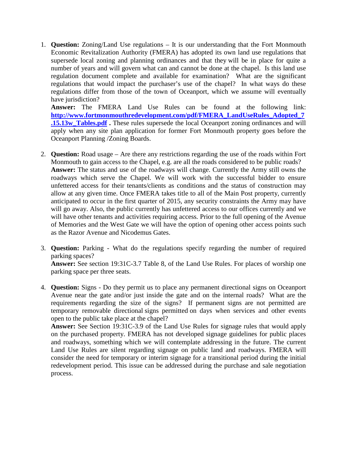1. **Question:** Zoning/Land Use regulations – It is our understanding that the Fort Monmouth Economic Revitalization Authority (FMERA) has adopted its own land use regulations that supersede local zoning and planning ordinances and that they will be in place for quite a number of years and will govern what can and cannot be done at the chapel. Is this land use regulation document complete and available for examination? What are the significant regulations that would impact the purchaser's use of the chapel? In what ways do these regulations differ from those of the town of Oceanport, which we assume will eventually have jurisdiction?

**Answer:** The FMERA Land Use Rules can be found at the following link: **[http://www.fortmonmouthredevelopment.com/pdf/FMERA\\_LandUseRules\\_Adopted\\_7](http://www.fortmonmouthredevelopment.com/pdf/FMERA_LandUseRules_Adopted_7.15.13w_Tables.pdf) [.15.13w\\_Tables.pdf](http://www.fortmonmouthredevelopment.com/pdf/FMERA_LandUseRules_Adopted_7.15.13w_Tables.pdf) .** These rules supersede the local Oceanport zoning ordinances and will apply when any site plan application for former Fort Monmouth property goes before the Oceanport Planning /Zoning Boards.

- 2. **Question:** Road usage Are there any restrictions regarding the use of the roads within Fort Monmouth to gain access to the Chapel, e.g. are all the roads considered to be public roads? **Answer:** The status and use of the roadways will change. Currently the Army still owns the roadways which serve the Chapel. We will work with the successful bidder to ensure unfettered access for their tenants/clients as conditions and the status of construction may allow at any given time. Once FMERA takes title to all of the Main Post property, currently anticipated to occur in the first quarter of 2015, any security constraints the Army may have will go away. Also, the public currently has unfettered access to our offices currently and we will have other tenants and activities requiring access*.* Prior to the full opening of the Avenue of Memories and the West Gate we will have the option of opening other access points such as the Razor Avenue and Nicodemus Gates.
- 3. **Question:** Parking What do the regulations specify regarding the number of required parking spaces? **Answer:** See section 19:31C-3.7 Table 8, of the Land Use Rules. For places of worship one parking space per three seats.
- 4. **Question:** Signs Do they permit us to place any permanent directional signs on Oceanport Avenue near the gate and/or just inside the gate and on the internal roads? What are the requirements regarding the size of the signs? If permanent signs are not permitted are temporary removable directional signs permitted on days when services and other events open to the public take place at the chapel?

**Answer:** See Section 19:31C-3.9 of the Land Use Rules for signage rules that would apply on the purchased property. FMERA has not developed signage guidelines for public places and roadways, something which we will contemplate addressing in the future. The current Land Use Rules are silent regarding signage on public land and roadways. FMERA will consider the need for temporary or interim signage for a transitional period during the initial redevelopment period. This issue can be addressed during the purchase and sale negotiation process.